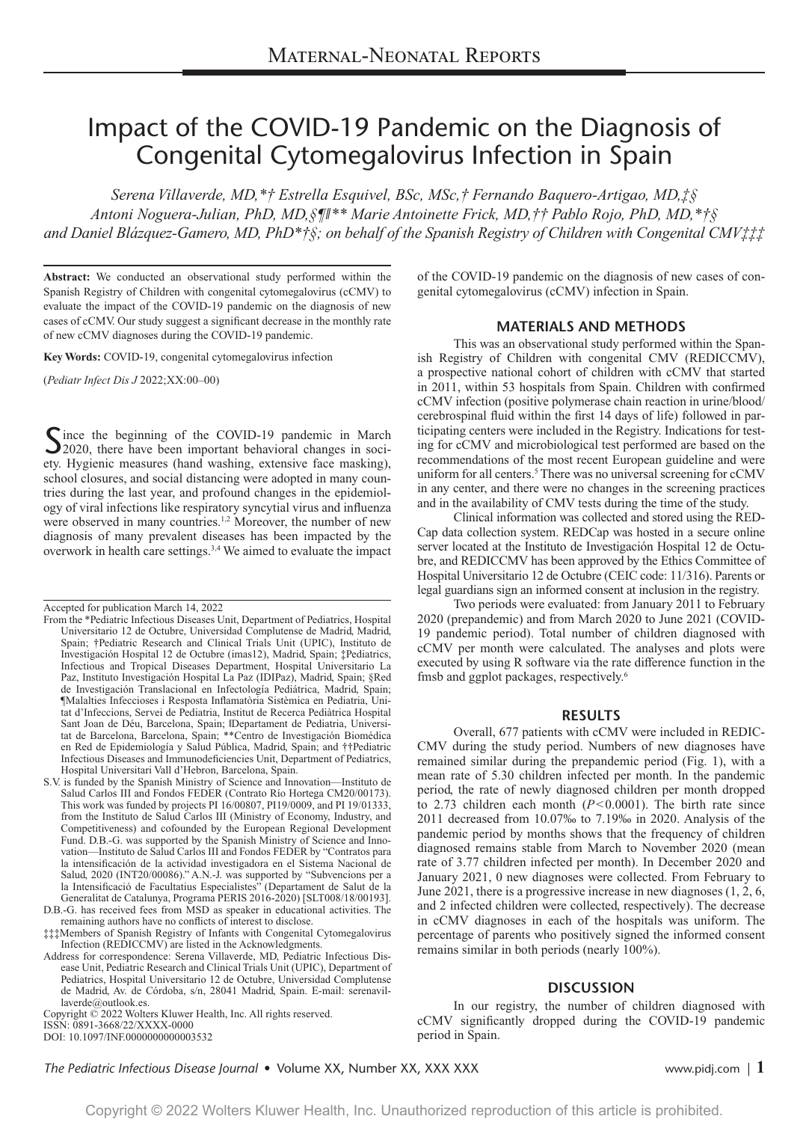# Impact of the COVID-19 Pandemic on the Diagnosis of Congenital Cytomegalovirus Infection in Spain

*Serena Villaverde, MD,\*† Estrella Esquivel, BSc, MSc,† Fernando Baquero-Artigao, MD,‡§ Antoni Noguera-Julian, PhD, MD,§¶‖\*\* Marie Antoinette Frick, MD,†† Pablo Rojo, PhD, MD,\*†§ and Daniel Blázquez-Gamero, MD, PhD\*†§; on behalf of the Spanish Registry of Children with Congenital CMV‡‡‡* 

**Abstract:** We conducted an observational study performed within the Spanish Registry of Children with congenital cytomegalovirus (cCMV) to evaluate the impact of the COVID-19 pandemic on the diagnosis of new cases of cCMV. Our study suggest a significant decrease in the monthly rate of new cCMV diagnoses during the COVID-19 pandemic.

**Key Words:** COVID-19, congenital cytomegalovirus infection

(*Pediatr Infect Dis J* 2022;XX:00–00)

Since the beginning of the COVID-19 pandemic in March 2020, there have been important behavioral changes in society. Hygienic measures (hand washing, extensive face masking), school closures, and social distancing were adopted in many countries during the last year, and profound changes in the epidemiology of viral infections like respiratory syncytial virus and influenza were observed in many countries.<sup>1,2</sup> Moreover, the number of new diagnosis of many prevalent diseases has been impacted by the overwork in health care settings.<sup>3,4</sup> We aimed to evaluate the impact

ISSN: 0891-3668/22/XXXX-0000 Copyright © 2022 Wolters Kluwer Health, Inc. All rights reserved.

DOI: 10.1097/INF.0000000000003532

of the COVID-19 pandemic on the diagnosis of new cases of congenital cytomegalovirus (cCMV) infection in Spain.

## **MATERIALS AND METHODS**

This was an observational study performed within the Spanish Registry of Children with congenital CMV (REDICCMV), a prospective national cohort of children with cCMV that started in 2011, within 53 hospitals from Spain. Children with confirmed cCMV infection (positive polymerase chain reaction in urine/blood/ cerebrospinal fluid within the first 14 days of life) followed in participating centers were included in the Registry. Indications for testing for cCMV and microbiological test performed are based on the recommendations of the most recent European guideline and were uniform for all centers.<sup>5</sup> There was no universal screening for cCMV in any center, and there were no changes in the screening practices and in the availability of CMV tests during the time of the study.

Clinical information was collected and stored using the RED-Cap data collection system. REDCap was hosted in a secure online server located at the Instituto de Investigación Hospital 12 de Octubre, and REDICCMV has been approved by the Ethics Committee of Hospital Universitario 12 de Octubre (CEIC code: 11/316). Parents or legal guardians sign an informed consent at inclusion in the registry.

Two periods were evaluated: from January 2011 to February 2020 (prepandemic) and from March 2020 to June 2021 (COVID-19 pandemic period). Total number of children diagnosed with cCMV per month were calculated. The analyses and plots were executed by using R software via the rate difference function in the fmsb and ggplot packages, respectively.<sup>6</sup>

#### **RESULTS**

Overall, 677 patients with cCMV were included in REDIC-CMV during the study period. Numbers of new diagnoses have remained similar during the prepandemic period (Fig. 1), with a mean rate of 5.30 children infected per month. In the pandemic period, the rate of newly diagnosed children per month dropped to 2.73 children each month (*P*<0.0001). The birth rate since 2011 decreased from 10.07‰ to 7.19‰ in 2020. Analysis of the pandemic period by months shows that the frequency of children diagnosed remains stable from March to November 2020 (mean rate of 3.77 children infected per month). In December 2020 and January 2021, 0 new diagnoses were collected. From February to June 2021, there is a progressive increase in new diagnoses (1, 2, 6, and 2 infected children were collected, respectively). The decrease in cCMV diagnoses in each of the hospitals was uniform. The percentage of parents who positively signed the informed consent remains similar in both periods (nearly 100%).

## **DISCUSSION**

In our registry, the number of children diagnosed with cCMV significantly dropped during the COVID-19 pandemic period in Spain.

*The Pediatric Infectious Disease Journal* • Volume XX, Number XX, XXX XXX www.pidj.com *|* **1**

Accepted for publication March 14, 2022

From the \*Pediatric Infectious Diseases Unit, Department of Pediatrics, Hospital Universitario 12 de Octubre, Universidad Complutense de Madrid, Madrid, Spain; †Pediatric Research and Clinical Trials Unit (UPIC), Instituto de Investigación Hospital 12 de Octubre (imas12), Madrid, Spain; ‡Pediatrics, Infectious and Tropical Diseases Department, Hospital Universitario La Paz, Instituto Investigación Hospital La Paz (IDIPaz), Madrid, Spain; §Red de Investigación Translacional en Infectología Pediátrica, Madrid, Spain; ¶Malalties Infeccioses i Resposta Inflamatòria Sistèmica en Pediatria, Unitat d'Infeccions, Servei de Pediatria, Institut de Recerca Pediàtrica Hospital Sant Joan de Déu, Barcelona, Spain; ‖Departament de Pediatria, Universitat de Barcelona, Barcelona, Spain; \*\*Centro de Investigación Biomédica en Red de Epidemiología y Salud Pública, Madrid, Spain; and ††Pediatric Infectious Diseases and Immunodeficiencies Unit, Department of Pediatrics, Hospital Universitari Vall d'Hebron, Barcelona, Spain.

S.V. is funded by the Spanish Ministry of Science and Innovation—Instituto de Salud Carlos III and Fondos FEDER (Contrato Río Hortega CM20/00173). This work was funded by projects PI 16/00807, PI19/0009, and PI 19/01333, from the Instituto de Salud Carlos III (Ministry of Economy, Industry, and Competitiveness) and cofounded by the European Regional Development Fund. D.B.-G. was supported by the Spanish Ministry of Science and Innovation—Instituto de Salud Carlos III and Fondos FEDER by "Contratos para la intensificación de la actividad investigadora en el Sistema Nacional de Salud, 2020 (INT20/00086)." A.N.-J. was supported by "Subvencions per a la Intensificació de Facultatius Especialistes" (Departament de Salut de la Generalitat de Catalunya, Programa PERIS 2016-2020) [SLT008/18/00193].

D.B.-G. has received fees from MSD as speaker in educational activities. The remaining authors have no conflicts of interest to disclose.

<sup>‡‡‡</sup>Members of Spanish Registry of Infants with Congenital Cytomegalovirus Infection (REDICCMV) are listed in the Acknowledgments.

Address for correspondence: Serena Villaverde, MD, Pediatric Infectious Disease Unit, Pediatric Research and Clinical Trials Unit (UPIC), Department of Pediatrics, Hospital Universitario 12 de Octubre, Universidad Complutense de Madrid, Av. de Córdoba, s/n, 28041 Madrid, Spain. E-mail: [serenavil](mailto:serenavillaverde@outlook.es)[laverde@outlook.es.](mailto:serenavillaverde@outlook.es)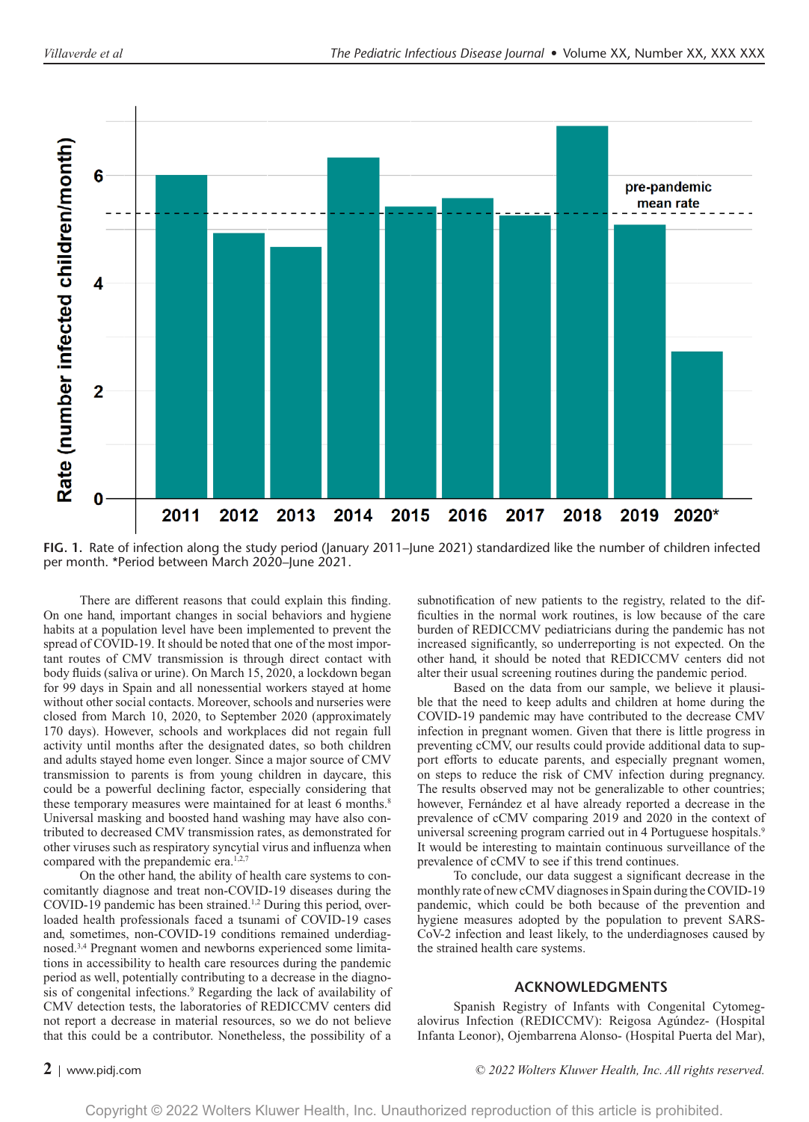

FIG. 1. Rate of infection along the study period (January 2011–June 2021) standardized like the number of children infected per month. \*Period between March 2020–June 2021.

There are different reasons that could explain this finding. On one hand, important changes in social behaviors and hygiene habits at a population level have been implemented to prevent the spread of COVID-19. It should be noted that one of the most important routes of CMV transmission is through direct contact with body fluids (saliva or urine). On March 15, 2020, a lockdown began for 99 days in Spain and all nonessential workers stayed at home without other social contacts. Moreover, schools and nurseries were closed from March 10, 2020, to September 2020 (approximately 170 days). However, schools and workplaces did not regain full activity until months after the designated dates, so both children and adults stayed home even longer. Since a major source of CMV transmission to parents is from young children in daycare, this could be a powerful declining factor, especially considering that these temporary measures were maintained for at least 6 months.<sup>8</sup> Universal masking and boosted hand washing may have also contributed to decreased CMV transmission rates, as demonstrated for other viruses such as respiratory syncytial virus and influenza when compared with the prepandemic era.<sup>1,2,7</sup>

On the other hand, the ability of health care systems to concomitantly diagnose and treat non-COVID-19 diseases during the COVID-19 pandemic has been strained.<sup>1,2</sup> During this period, overloaded health professionals faced a tsunami of COVID-19 cases and, sometimes, non-COVID-19 conditions remained underdiagnosed.3,4 Pregnant women and newborns experienced some limitations in accessibility to health care resources during the pandemic period as well, potentially contributing to a decrease in the diagnosis of congenital infections.<sup>9</sup> Regarding the lack of availability of CMV detection tests, the laboratories of REDICCMV centers did not report a decrease in material resources, so we do not believe that this could be a contributor. Nonetheless, the possibility of a

subnotification of new patients to the registry, related to the difficulties in the normal work routines, is low because of the care burden of REDICCMV pediatricians during the pandemic has not increased significantly, so underreporting is not expected. On the other hand, it should be noted that REDICCMV centers did not alter their usual screening routines during the pandemic period.

Based on the data from our sample, we believe it plausible that the need to keep adults and children at home during the COVID-19 pandemic may have contributed to the decrease CMV infection in pregnant women. Given that there is little progress in preventing cCMV, our results could provide additional data to support efforts to educate parents, and especially pregnant women, on steps to reduce the risk of CMV infection during pregnancy. The results observed may not be generalizable to other countries; however, Fernández et al have already reported a decrease in the prevalence of cCMV comparing 2019 and 2020 in the context of universal screening program carried out in 4 Portuguese hospitals.<sup>9</sup> It would be interesting to maintain continuous surveillance of the prevalence of cCMV to see if this trend continues.

To conclude, our data suggest a significant decrease in the monthly rate of new cCMV diagnoses in Spain during the COVID-19 pandemic, which could be both because of the prevention and hygiene measures adopted by the population to prevent SARS-CoV-2 infection and least likely, to the underdiagnoses caused by the strained health care systems.

## **ACKNOWLEDGMENTS**

Spanish Registry of Infants with Congenital Cytomegalovirus Infection (REDICCMV): Reigosa Agúndez- (Hospital Infanta Leonor), Ojembarrena Alonso- (Hospital Puerta del Mar),

**2** <sup>|</sup> www.pidj.com *© 2022 Wolters Kluwer Health, Inc. All rights reserved.*